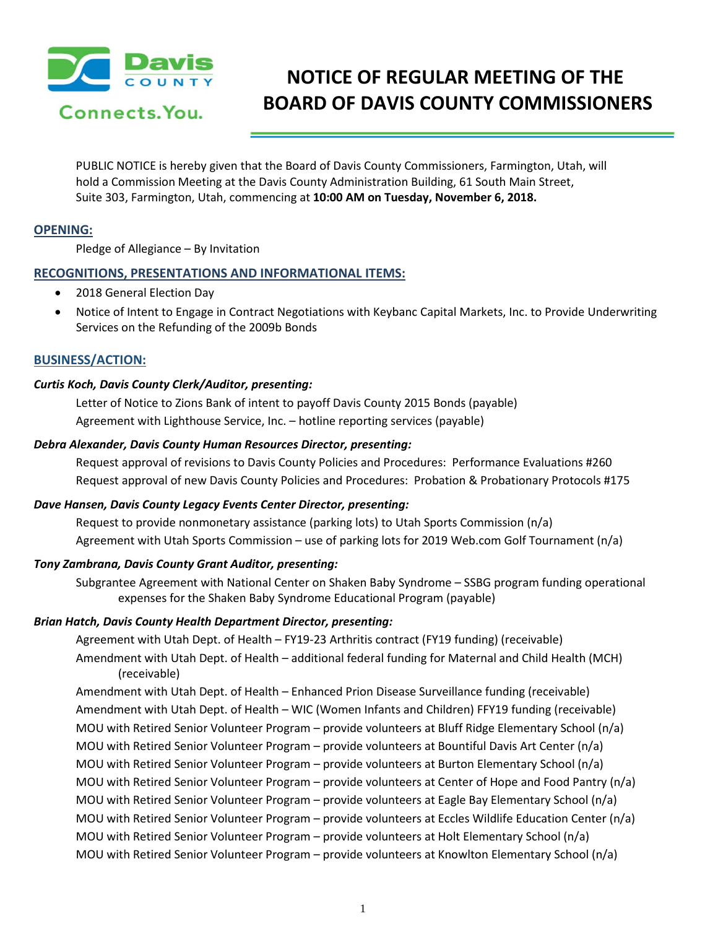

# **NOTICE OF REGULAR MEETING OF THE BOARD OF DAVIS COUNTY COMMISSIONERS**

PUBLIC NOTICE is hereby given that the Board of Davis County Commissioners, Farmington, Utah, will hold a Commission Meeting at the Davis County Administration Building, 61 South Main Street, Suite 303, Farmington, Utah, commencing at **10:00 AM on Tuesday, November 6, 2018.**

# **OPENING:**

Pledge of Allegiance – By Invitation

## **RECOGNITIONS, PRESENTATIONS AND INFORMATIONAL ITEMS:**

- 2018 General Election Day
- Notice of Intent to Engage in Contract Negotiations with Keybanc Capital Markets, Inc. to Provide Underwriting Services on the Refunding of the 2009b Bonds

## **BUSINESS/ACTION:**

#### *Curtis Koch, Davis County Clerk/Auditor, presenting:*

Letter of Notice to Zions Bank of intent to payoff Davis County 2015 Bonds (payable) Agreement with Lighthouse Service, Inc. – hotline reporting services (payable)

#### *Debra Alexander, Davis County Human Resources Director, presenting:*

Request approval of revisions to Davis County Policies and Procedures: Performance Evaluations #260 Request approval of new Davis County Policies and Procedures: Probation & Probationary Protocols #175

#### *Dave Hansen, Davis County Legacy Events Center Director, presenting:*

Request to provide nonmonetary assistance (parking lots) to Utah Sports Commission (n/a) Agreement with Utah Sports Commission – use of parking lots for 2019 Web.com Golf Tournament (n/a)

#### *Tony Zambrana, Davis County Grant Auditor, presenting:*

Subgrantee Agreement with National Center on Shaken Baby Syndrome – SSBG program funding operational expenses for the Shaken Baby Syndrome Educational Program (payable)

#### *Brian Hatch, Davis County Health Department Director, presenting:*

Agreement with Utah Dept. of Health – FY19-23 Arthritis contract (FY19 funding) (receivable) Amendment with Utah Dept. of Health – additional federal funding for Maternal and Child Health (MCH) (receivable)

Amendment with Utah Dept. of Health – Enhanced Prion Disease Surveillance funding (receivable) Amendment with Utah Dept. of Health – WIC (Women Infants and Children) FFY19 funding (receivable) MOU with Retired Senior Volunteer Program – provide volunteers at Bluff Ridge Elementary School (n/a) MOU with Retired Senior Volunteer Program – provide volunteers at Bountiful Davis Art Center (n/a) MOU with Retired Senior Volunteer Program – provide volunteers at Burton Elementary School (n/a) MOU with Retired Senior Volunteer Program – provide volunteers at Center of Hope and Food Pantry (n/a) MOU with Retired Senior Volunteer Program – provide volunteers at Eagle Bay Elementary School (n/a) MOU with Retired Senior Volunteer Program – provide volunteers at Eccles Wildlife Education Center (n/a) MOU with Retired Senior Volunteer Program – provide volunteers at Holt Elementary School (n/a) MOU with Retired Senior Volunteer Program – provide volunteers at Knowlton Elementary School (n/a)